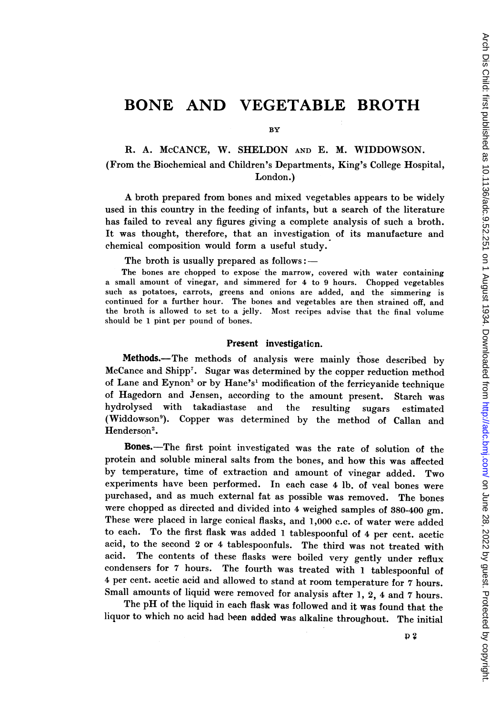# BONE AND VEGETABLE BROTH

BY

#### R. A. McCANCE, W. SHELDON AND E. M. WIDDOWSON.

# (From the Biochemical and Children's Departments, King's College Hospital, London.)

A broth prepared from bones and mixed vegetables appears to be widely used in this country in the feeding of infants, but a search of the literature has failed to reveal any figures giving a complete analysis of such a broth. It was thought, therefore, that an investigation of its manufacture and chemical composition would form a useful study.

The broth is usually prepared as follows: —

The bones are chopped to expose the marrow, covered with water containing a small amouint of vinegar, and simmered for 4 to 9 hours. Chopped vegetables such as potatoes, carrots, greens and onions are added, and the simmering is continued for a further hour. The bones and vegetables are then strained off, and the broth is allowed to set to a jelly. Most recipes advise that thc final volume should be <sup>1</sup> pint per pound of bones.

## Present investigation.

Methods.--The methods of analysis were mainly those described by McCance and Shipp'. Sugar was determined by the copper reduction method of Lane and Eynon<sup>3</sup> or by Hane's<sup>1</sup> modification of the ferricyanide technique of Hagedorn and Jensen, according to the amount present. Starch was<br>hydrolysed with takadiastase and the resulting sugars estimated takadiastase and the resulting sugars estimated (Widdowson'). Copper was determined by the method of Callan and Henderson<sup>2</sup>.

Bones.-The first point investigated was the rate of solution of the protein and soluble mineral salts from the bones, and how this was affected by temperature, time of extraction and amount of vinegar added. Two experiments have been performed. In each case 4 lb. of veal bones were purchased, and as much external fat as possible was removed. The bones were chopped as directed and divided into <sup>4</sup> weighed samples of 380-400 gm. These were placed in large conical flasks, and 1,000 c.c. of water were added to each. To the first flask was added <sup>1</sup> tablespoonful of <sup>4</sup> per cent. acetic acid, to the second 2 or 4 tablespoonfuls. The third was not treated with acid. The contents of these flasks were boiled very gently under reflux condensers for 7 hours. The fourth was treated with <sup>1</sup> tablespoonful of 4 per cent. acetic acid and allowed to stand at room temperature for 7 hours. Small amounts of liquid were removed for analysis after 1, 2, <sup>4</sup> and <sup>7</sup> hours.

The pH of the liquid in each flask was followed and it was found that the liquor to which no acid had been added was alkaline throughout. The initial and it was found that<br>  $\frac{1}{2}$  throughout. The is<br>  $\frac{1}{2}$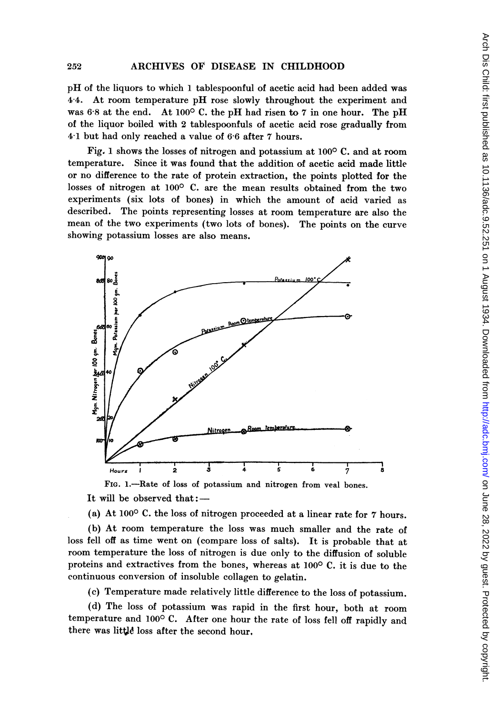pH of the liquors to which <sup>1</sup> tablespoonful of acetic acid had been added was <sup>4</sup> 4. At room temperature pH rose slowly throughout the experiment and was  $6.8$  at the end. At 100° C. the pH had risen to 7 in one hour. The pH of the liquor boiled with 2 tablespoonfuls of acetic acid rose gradually from 4 <sup>1</sup> but had only reached a value of 6 6 after 7 hours.

Fig. 1 shows the losses of nitrogen and potassium at 100°C. and at room temperature. Since it was found that the addition of acetic acid made little or no difference to the rate of protein extraction, the points plotted for the losses of nitrogen at  $100^{\circ}$  C. are the mean results obtained from the two experiments (six lots of bones) in which the amount of acid varied as described. The points representing losses at room temperature are also the mean of the two experiments (two lots of bones). The points on the curve showing potassium losses are also means.



FIG. 1.-Rate of loss of potassium and nitrogen from veal bones.

It will be observed that:-

(a) At 100° C. the loss of nitrogen proceeded at a linear rate for 7 hours.

(b) At room temperature the loss was much smaller and the rate of loss fell off as time went on (compare loss of salts). It is probable that at room temperature the loss of nitrogen is due only to the diffusion of soluble proteins and extractives from the bones, whereas at 100° C. it is due to the continuous conversion of insoluble collagen to gelatin.

(c) Temperature made relatively little difference to the loss of potassium.

(d) The loss of potassium was rapid in the first hour, both at room temperature and 100° C. After one hour the rate of loss fell off rapidly and there was little loss after the second hour.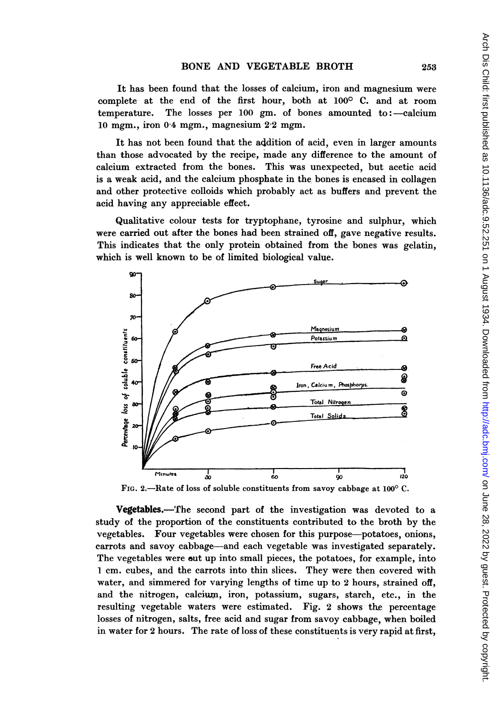It has been found that the losses of calcium, iron and magnesium were complete at the end of the first hour, both at 100° C. and at room temperature. The losses per 100 gm. of bones amounted to:—calcium 10 mgm., iron 0.4 mgm., magnesium 2.2 mgm.

It has not been found that the addition of acid, even in larger amounts than those advocated by the recipe, made any difference to the amount of calcium extracted from the bones. This was unexpected, but acetic acid is a weak acid, and the calcium phosphate in the bones is encased in collagen and other protective colloids which probably act as buffers and prevent the acid having any appreciable effect.

Qualitative colour tests for tryptophane, tyrosine and sulphur, which were carried out after the bones had been strained off, gave negative results. This indicates that the only protein obtained from the bones was gelatin, which is well known to be of limited biological value.



FIG. 2.—Rate of loss of soluble constituents from savoy cabbage at  $100^{\circ}$  C.

Vegetables.--The second part of the investigation was devoted to a study of the proportion of the constituents contributed to the broth by the vegetables. Four vegetables were chosen for this purpose-potatoes, onions, carrots and savoy cabbage-and each vegetable was investigated separately. The vegetables were out up into small pieces, the potatoes, for example, into <sup>1</sup> cm. cubes, and the carrots into thin slices. They were then covered with water, and simmered for varying lengths of time up to 2 hours, strained off, and the nitrogen, calciwn, iron, potassium, sugars, starch, etc., in the resulting vegetable waters were estimated. Fig. 2 shows the percentage losses of nitrogen, salts, free acid and sugar from savoy cabbage, when boiled in water for 2 hours. The rate of loss of these constituents is very rapid at first,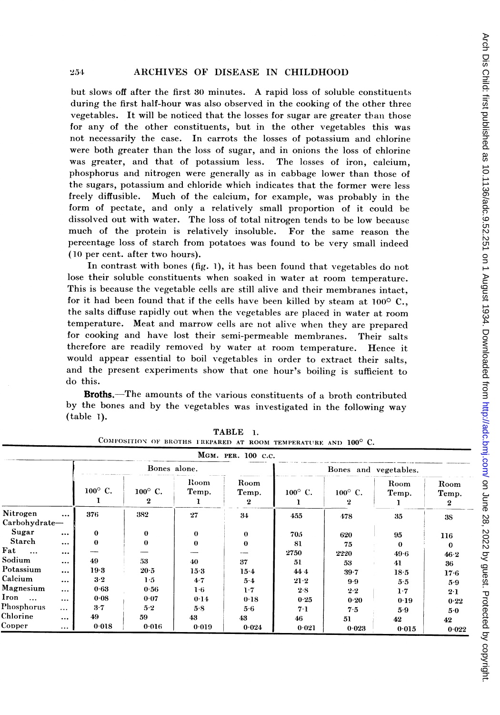but slows off after the first <sup>30</sup> minutes. A rapid loss of soluble constituents during the first half-hour was also observed in the cooking of the other three vegetables. It will be noticed that the losses for sugar are greater than those for any of the other constituents, but in the other vegetables this was not necessarily the case. In carrots the losses of potassium and chlorine were both greater than the loss of sugar, and in onions the loss of chlorine was greater, and that of potassium less. The losses of iron, calcium, phosphorus and nitrogen were generally as in cabbage lower than those of the sugars, potassium and chloride which indicates that the former were less freely diffusible. Much of the calcium, for example, was probably in the form of pectate, and only a relatively small proportion of it could be dissolved out with water. The loss of total nitrogen tends to be low because much of the protein is relatively insoluble. For the same reason the percentage loss of starch from potatoes was found to be very small indeed (10 per cent. after two hours).

lose their soluble constituents when soaked in water at room temperature. This is because the vegetable cells are still alive and their membranes intact. for it had been found that if the cells have been killed by steam at  $100^{\circ}$  C., the salts diffuse rapidly out when the vegetables are placed in water at room temperature. Meat and marrow cells are not alive when they are prepared for cooking and have lost their semi-permeable membranes. Their salts therefore are readily removed by water at room temperature. Hence it would appear essential to boil vegetables in order to extract their salts, and the present experiments show that one hour's boiling is sufficient to do this.

Broths. The amounts of the various constituents of a broth contributed by the bones and by the vegetables was investigated in the following way (table 1).

| Мсм. рев. 100 с.с.            |                       |                      |                              |               |                      |                       |                  |                    |                    |
|-------------------------------|-----------------------|----------------------|------------------------------|---------------|----------------------|-----------------------|------------------|--------------------|--------------------|
|                               |                       | Bones alone.         |                              |               |                      | Bones and vegetables. |                  |                    |                    |
|                               |                       | $100^{\circ}$ C.     | $100^{\circ}$ C.<br>$\bf{2}$ | Room<br>Temp. | Room<br>Temp.<br>2   | $100^{\circ}$ C.      | $100^{\circ}$ C. | Room<br>Temp.      | Room<br>Temp.<br>2 |
| Nitrogen<br>Carbohydrate-     | $\ddotsc$             | 376                  | 382                          | 27            | 34                   | 455                   | 478              | 35                 | 38                 |
| Sugar<br>Starch               | $\cdots$<br>          | $\bf{0}$<br>$\theta$ | $\bf{0}$<br>$\theta$         | 0<br>0        | $\theta$<br>$\bf{0}$ | 705<br>81             | 620<br>75        | 95<br>$\mathbf{0}$ | 116<br>$\Omega$    |
| Fat<br>$\ddotsc$<br>Sodium    | $\cdots$<br>          | 49                   | 53                           | 40            | 37                   | 2750<br>51            | 2220<br>53       | 49.6<br>41         | 46.2<br>36         |
| Potassium<br>Calcium          | $\cdots$<br>$\ddotsc$ | 19.3<br>3.2          | $20-5$<br>$1-5$              | $15-3$<br>4.7 | 15.4<br>5.4          | 44.4<br>21.2          | 39.7<br>9.9      | 18.5<br>5.5        | 17.6<br>5.9        |
| Magnesium<br>Iron<br>$\ddots$ | $\cdots$<br>$\cdots$  | 0.63<br>0.08         | 0.56<br>0.07                 | $1-6$<br>0.14 | 1.7<br>0.18          | 2.8<br>0.25           | 2.2<br>0.20      | 1.7<br>0.19        | $2-1$              |
| Phosphorus<br>Chlorine        | <br>$\cdots$          | 3.7<br>49            | 5.2<br>59                    | 5.8<br>43     | 5.6<br>43            | $7-1$<br>46           | 7.5<br>51        | 5.9<br>42          | 0.22<br>5.0        |
| Copper                        | $\cdots$              | 0.018                | 0.016                        | 0.019         | 0.024                | 0.021                 | 0.023            | 0.015              | 42<br>0.022        |

TABLE 1. COMPOSITION OF BROTHS IREPARED AT ROOM TEMPERATURE AND 100° C.

In contrast with bones (fig. 1), it has been found that vegetables do not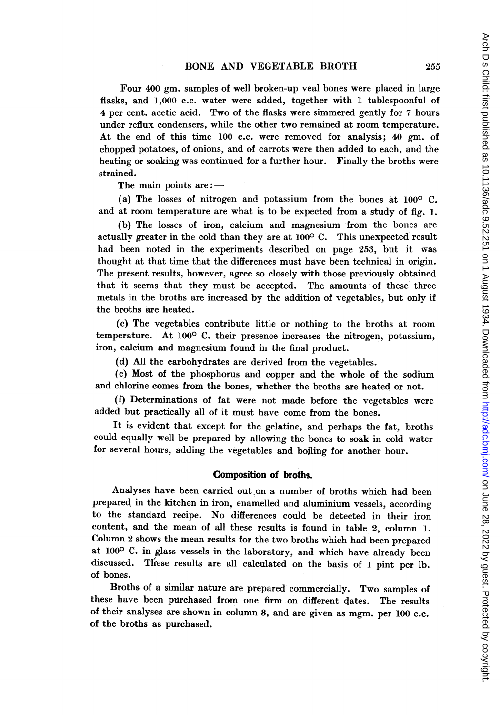Four 400 gm. samples of well broken-up veal bones were placed in large flasks, and 1,000 c.c. water were added, together with <sup>1</sup> tablespoonful of <sup>4</sup> per cent. acetic acid. Two of the flasks were simmered gently for <sup>7</sup> hours under reflux condensers, while the other two remained at room temperature. At the end of this time 100 c.c. were removed for analysis; 40 gm. of chopped potatoes, of onions, and of carrots were then added to each, and the heating or soaking was continued for a further hour. Finally the broths were strained.

The main points  $are:$   $-$ 

(a) The losses of nitrogen and potassium from the bones at 100° C. and at room temperature are what is to be expected from a study of fig. 1.

(b) The losses of iron, calcium and magnesium from the bones are actually greater in the cold than they are at 100° C. This unexpected result had been noted in the experiments described on page 253, but it was thought at that time that the differences must have been technical in origin. The present results, however, agree so closely with those previously obtained that it seems that they must be accepted. The amounts' of these three metals in the broths are increased by the addition of vegetables, but only if the broths are heated.

(c) The vegetables contribute little or nothing to the broths at room temperature. At 100° C. their presence increases the nitrogen, potassium, iron, calcium and magnesium found in the final product.

(d) All the carbohydrates are derived from the vegetables.

(e) Most of the phosphorus and copper and the whole of the sodium and chlorine comes from the bones, whether the broths are heated or not.

(f) Determinations of fat were not made before the vegetables were added but practically all of it must have come from the bones.

It is evident that except for the gelatine, and perhaps the fat, broths could equally well be prepared by allowing the bones to soak in cold water for several hours, adding the vegetables and boiling for another hour.

# Composition of broths.

Analyses have been carried out on a number of broths which had been prepared in the kitchen in iron, enamelled and aluminium vessels, according to the standard recipe. No differences could be detected in their iron content, and the mean of all these results is found in table 2, column 1. Column 2 shows the mean results for the two broths which had been prepared at 100° C. in glass vessels in the laboratory, and which have already been discussed. These results are all calculated on the basis of 1 pint per lb. of bones.

Broths of a similar nature are prepared commercially. Two samples of these have been purchased from one firm on different dates. The results of their analyses are shown in column 3, and are given as mgm. per 100 c.c. of the broths as purchased.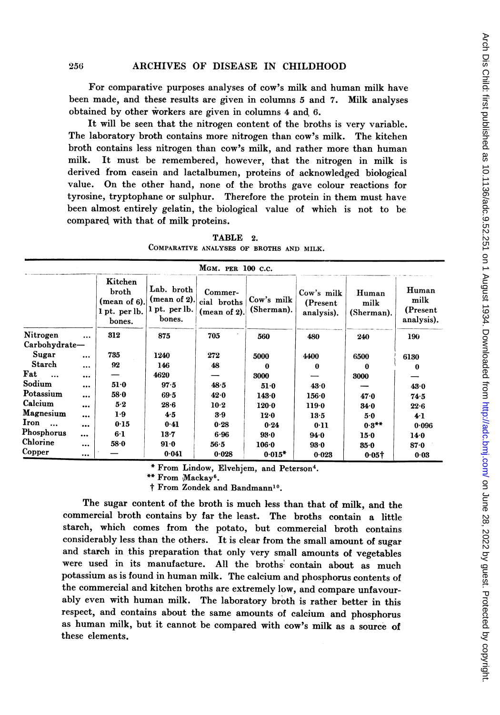# <sup>256</sup> ARCHIVES OF DISEASE IN CHILDHOOD

For comparative purposes analyses of cow's milk and human milk have been made, and these results are given in columns 5 and 7. Milk analyses obtained by other workers are given in columns 4 and 6.

It will be seen that the nitrogen content of the broths is very variable. The laboratory broth contains more nitrogen than cow's milk. The kitchen broth contains less nitrogen than cow's milk, and rather more than human It must be remembered, however, that the nitrogen in milk is derived from casein and lactalbumen, proteins of acknowledged biological value. On the other hand, none of the broths gave colour reactions for tyrosine, tryptophane or sulphur. Therefore the protein in them must have been almost entirely gelatin, the biological value of which is not to be compared with that of milk proteins.

| TABLE 2.                                 |  |  |  |  |  |  |  |  |
|------------------------------------------|--|--|--|--|--|--|--|--|
| COMPARATIVE ANALYSES OF BROTHS AND MILK. |  |  |  |  |  |  |  |  |

|                   |           |                                                                |                                                       | MGM. PER 100 C.C.                      |                          |                                      |                             |                                         |
|-------------------|-----------|----------------------------------------------------------------|-------------------------------------------------------|----------------------------------------|--------------------------|--------------------------------------|-----------------------------|-----------------------------------------|
|                   |           | Kitchen<br>broth<br>$(mean of 6)$ .<br>1 pt. per lb.<br>bones. | Lab. broth<br>(mean of 2).<br>1 pt. per lb.<br>bones. | Commer-<br>cial broths<br>(mean of 2). | Cow's milk<br>(Sherman). | Cow's milk<br>(Present<br>analysis). | Human<br>milk<br>(Sherman). | Human<br>milk<br>(Present<br>analysis). |
| Nitrogen          | $\ddotsc$ | 312                                                            | 875                                                   | 705                                    | 560                      | 480                                  | 240                         | 190                                     |
| Carbohydrate-     |           |                                                                |                                                       |                                        |                          |                                      |                             |                                         |
| Sugar             | $\ddotsc$ | 735                                                            | 1240                                                  | 272                                    | 5000                     | 4400                                 | 6500                        | 6130                                    |
| <b>Starch</b>     | $\cdots$  | 92                                                             | 146                                                   | 48                                     | $\Omega$                 | 0                                    | 0                           | 0                                       |
| Fat               | $\cdots$  |                                                                | 4620                                                  |                                        | 3000                     |                                      | 3000                        |                                         |
| Sodium            |           | 51.0                                                           | 97.5                                                  | 48.5                                   | 51.0                     | 43.0                                 |                             | 43.0                                    |
| Potassium         |           | 58.0                                                           | 69.5                                                  | 42.0                                   | 143.0                    | 156.0                                | 47.0                        | 74.5                                    |
| Calcium           |           | 5.2                                                            | $28 - 6$                                              | $10-2$                                 | 120.0                    | 119.0                                | 34.0                        | 22.6                                    |
| Magnesium         | $\ddotsc$ | 1.9                                                            | 4.5                                                   | 3.9                                    | 12.0                     | 13.5                                 | 5.0                         | $4-1$                                   |
| Iron<br>$\ddotsc$ |           | 0.15                                                           | 0.41                                                  | 0.28                                   | 0.24                     | 0.11                                 | $0.3***$                    | 0.096                                   |
| Phosphorus        |           | $6-1$                                                          | 13.7                                                  | 6.96                                   | 93.0                     | 94.0                                 | 15.0                        | 14.0                                    |
| Chlorine          |           | 58.0                                                           | 91.0                                                  | 56.5                                   | 106:0                    | 93.0                                 | 35.0                        | 87.0                                    |
| Copper            |           |                                                                | 0.041                                                 | 0.028                                  | $0.015*$                 | 0.023                                | $0.05\dagger$               | 0.03                                    |

\* From Lindow, Elvehjem, and Peterson4.

\*\* From Xackay6.

t From Zondek and Bandmann10.

The sugar content of the broth is much less than that of milk, and the commercial broth contains by far the least. The broths contain a little starch, which comes from the potato, but commercial broth contains considerably less than the others. It is clear from the small amount of sugar and starch in this preparation that only very small amounts of vegetables were used in its manufacture. All the broths contain about as much potassium as is found in human milk. The calcium and phosphorus contents of the commercial and kitchen broths are extremely low, and compare unfavourably even with human milk. The laboratory broth is rather better in this respect, and contains about the same amounts of calcium and phosphorus as human milk, but it cannot be compared with cow's milk as <sup>a</sup> source of these elements.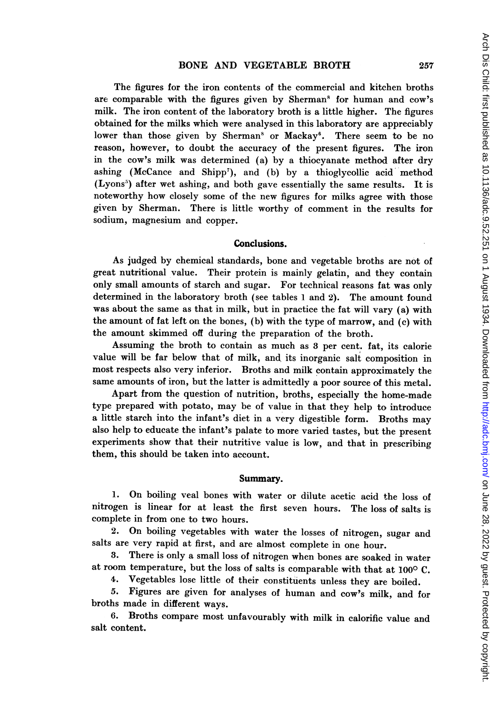#### BONE AND VEGETABLE BROTH

The figures for the iron contents of the commercial and kitchen broths are comparable with the figures given by Sherman<sup>8</sup> for human and cow's milk. The iron content of the laboratory broth is a little higher. The figures obtained for the milks which were analysed in this laboratory are appreciably lower than those given by Sherman<sup>8</sup> or Mackay<sup>6</sup>. There seem to be no reason, however, to doubt the accuracy of the present figures. The iron in the cow's milk was determined (a) by <sup>a</sup> thiocyanate method after dry ashing (McCance and Shipp7), and (b) by a thioglycollic acid method (Lyons<sup>5</sup>) after wet ashing, and both gave essentially the same results. It is noteworthy how closely some of the new figures for milks agree with those given by Sherman. There is little worthy of comment in the results for sodium, magnesium and copper.

## Conclusions.

As judged by chemical standards, bone and vegetable broths are not of great nutritional value. Their protein is mainly gelatin, and they contain only small amounts of starch and sugar. For technical reasons fat was only determined in the laboratory broth (see tables <sup>1</sup> and 2). The amount found was about the same as that in milk, but in practice the fat will vary (a) with the amount of fat left on the bones, (b) with the type of marrow, and (c) with the amount skimmed off during the preparation of the broth.

Assuming the broth to contain as much as 3 per cent. fat, its calorie value will be far below that of milk, and its inorganic salt composition in most respects also very inferior. Broths and milk contain approximately the same amounts of iron, but the latter is admittedly a poor source of this metal.

Apart from the question of nutrition, broths, especially the home-made type prepared with potato, may be of value in that they help to introduce a little starch into the infant's diet in <sup>a</sup> very digestible form. Broths may also help to educate the infant's palate to more varied tastes, but the present experiments show that their nutritive value is low, and that in prescribing them, this should be taken into account.

## Summary.

1. On boiling veal bones with water or dilute acetic acid the loss of nitrogen is linear for at least the first seven hours. The loss of salts is complete in from one to two hours.

2. On boiling vegetables with water the losses of nitrogen, sugar and salts are very rapid at first, and are almost complete in one hour.

3. There is only a small loss of nitrogen when bones are soaked in water at room temperature, but the loss of salts is comparable with that at 100° C.

4. Vegetables lose little of their constituents unless they are boiled.

5. Figures are given for analyses of human and cow's milk, and for broths made in different ways.

6. Broths compare most unfavourably with milk in calorific value and salt content.